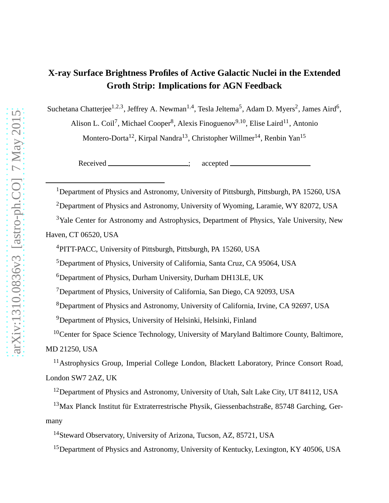# **X-ray Surface Brightness Profiles of Active Galactic Nuclei in the Extended Groth Strip: Implications for AGN Feedback**

Suchetana Chatterjee<sup>1,2,3</sup>, Jeffrey A. Newman<sup>1,4</sup>, Tesla Jeltema<sup>5</sup>, Adam D. Myers<sup>2</sup>, James Aird<sup>6</sup>,

Alison L. Coil<sup>7</sup>, Michael Cooper<sup>8</sup>, Alexis Finoguenov<sup>9,10</sup>, Elise Laird<sup>11</sup>, Antonio

Montero-Dorta<sup>12</sup>, Kirpal Nandra<sup>13</sup>, Christopher Willmer<sup>14</sup>, Renbin Yan<sup>15</sup>

Received \_\_\_\_\_\_\_\_\_\_\_\_\_\_\_\_\_\_\_; accepted \_

<sup>1</sup>Department of Physics and Astronomy, University of Pittsburgh, Pittsburgh, PA 15260, USA

<sup>2</sup>Department of Physics and Astronomy, University of Wyoming, Laramie, WY 82072, USA

<sup>3</sup>Yale Center for Astronomy and Astrophysics, Department of Physics, Yale University, New Haven, CT 06520, USA

<sup>4</sup>PITT-PACC, University of Pittsburgh, Pittsburgh, PA 15260, USA

<sup>5</sup>Department of Physics, University of California, Santa Cruz, CA 95064, USA

<sup>6</sup>Department of Physics, Durham University, Durham DH13LE, UK

<sup>7</sup>Department of Physics, University of California, San Diego, CA 92093, USA

<sup>8</sup>Department of Physics and Astronomy, University of California, Irvine, CA 92697, USA

<sup>9</sup>Department of Physics, University of Helsinki, Helsinki, Finland

<sup>10</sup>Center for Space Science Technology, University of Maryland Baltimore County, Baltimore, MD 21250, USA

<sup>11</sup>Astrophysics Group, Imperial College London, Blackett Laboratory, Prince Consort Road, London SW7 2AZ, UK

<sup>12</sup> Department of Physics and Astronomy, University of Utah, Salt Lake City, UT 84112, USA

 $13$ Max Planck Institut für Extraterrestrische Physik, Giessenbachstraße, 85748 Garching, Germany

<sup>14</sup>Steward Observatory, University of Arizona, Tucson, AZ, 85721, USA

<sup>15</sup>Department of Physics and Astronomy, University of Kentucky, Lexington, KY 40506, USA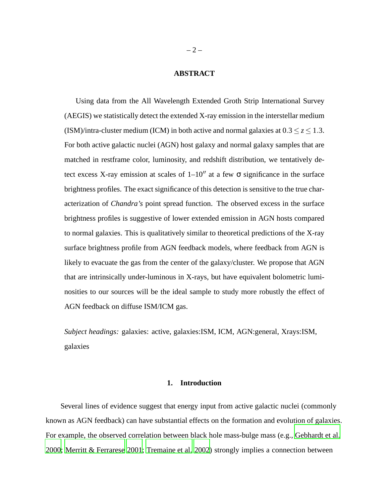# **ABSTRACT**

Using data from the All Wavelength Extended Groth Strip International Survey (AEGIS) we statistically detect the extended X-ray emission in the interstellar medium (ISM)/intra-cluster medium (ICM) in both active and normal galaxies at  $0.3 \le z \le 1.3$ . For both active galactic nuclei (AGN) host galaxy and normal galaxy samples that are matched in restframe color, luminosity, and redshift distribution, we tentatively detect excess X-ray emission at scales of  $1-10''$  at a few  $\sigma$  significance in the surface brightness profiles. The exact significance of this detection is sensitive to the true characterization of *Chandra's* point spread function. The observed excess in the surface brightness profiles is suggestive of lower extended emission in AGN hosts compared to normal galaxies. This is qualitatively similar to theoretical predictions of the X-ray surface brightness profile from AGN feedback models, where feedback from AGN is likely to evacuate the gas from the center of the galaxy/cluster. We propose that AGN that are intrinsically under-luminous in X-rays, but have equivalent bolometric luminosities to our sources will be the ideal sample to study more robustly the effect of AGN feedback on diffuse ISM/ICM gas.

*Subject headings:* galaxies: active, galaxies:ISM, ICM, AGN:general, Xrays:ISM, galaxies

# **1. Introduction**

Several lines of evidence suggest that energy input from active galactic nuclei (commonly known as AGN feedback) can have substantial effects on the formation and evolution of galaxies. For example, the observed correlation between black hole mass-bulge mass (e.g., [Gebhardt et al.](#page-28-0) [2000;](#page-28-0) [Merritt & Ferrarese 2001;](#page-29-0) [Tremaine et al. 2002\)](#page-30-0) strongly implies a connection between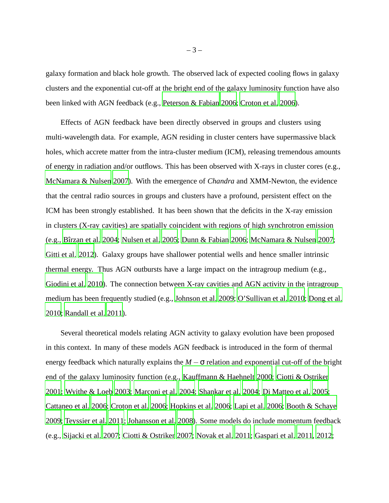galaxy formation and black hole growth. The observed lack of expected cooling flows in galaxy clusters and the exponential cut-off at the bright end of the galaxy luminosity function have also been linked with AGN feedback (e.g., [Peterson & Fabian 2006](#page-30-1); [Croton et al. 2006\)](#page-28-1).

Effects of AGN feedback have been directly observed in groups and clusters using multi-wavelength data. For example, AGN residing in cluster centers have supermassive black holes, which accrete matter from the intra-cluster medium (ICM), releasing tremendous amounts of energy in radiation and/or outflows. This has been observed with X-rays in cluster cores (e.g., [McNamara & Nulsen 2007](#page-29-1)). With the emergence of *Chandra* and XMM-Newton, the evidence that the central radio sources in groups and clusters have a profound, persistent effect on the ICM has been strongly established. It has been shown that the deficits in the X-ray emission in clusters (X-ray cavities) are spatially coincident with regions of high synchrotron emission (e.g., [Bˆırzan et al. 2004](#page-27-0); [Nulsen et al. 2005](#page-29-2); [Dunn & Fabian 2006;](#page-28-2) [McNamara & Nulsen 2007;](#page-29-1) [Gitti et al. 2012\)](#page-28-3). Galaxy groups have shallower potential wells and hence smaller intrinsic thermal energy. Thus AGN outbursts have a large impact on the intragroup medium (e.g., [Giodini et al. 2010\)](#page-28-4). The connection between X-ray cavities and AGN activity in the intragroup medium has been frequently studied (e.g., [Johnson et al. 2009](#page-29-3); [O'Sullivan et al. 2010;](#page-30-2) [Dong et al.](#page-28-5) [2010;](#page-28-5) [Randall et al. 2011\)](#page-30-3).

Several theoretical models relating AGN activity to galaxy evolution have been proposed in this context. In many of these models AGN feedback is introduced in the form of thermal energy feedback which naturally explains the  $M - \sigma$  relation and exponential cut-off of the bright end of the galaxy luminosity function (e.g., [Kauffmann & Haehnelt 2000](#page-29-4); [Ciotti & Ostriker](#page-27-1) [2001;](#page-27-1) [Wyithe & Loeb 2003;](#page-30-4) [Marconi et al. 2004](#page-29-5); [Shankar et al. 2004;](#page-30-5) [Di Matteo et al. 2005](#page-28-6); [Cattaneo et al. 2006](#page-27-2); [Croton et al. 2006](#page-28-1); [Hopkins et al. 2006](#page-29-6); [Lapi et al. 2006](#page-29-7); [Booth & Schaye](#page-27-3) [2009;](#page-27-3) [Teyssier et al. 2011](#page-30-6); [Johansson et al. 2008\)](#page-29-8). Some models do include momentum feedback (e.g., [Sijacki et al. 2007;](#page-30-7) [Ciotti & Ostriker 2007;](#page-27-4) [Novak et al. 2011;](#page-29-9) [Gaspari et al. 2011](#page-28-7), [2012;](#page-28-8)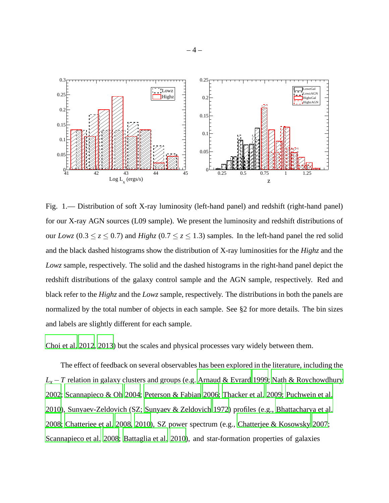

Fig. 1.— Distribution of soft X-ray luminosity (left-hand panel) and redshift (right-hand panel) for our X-ray AGN sources (L09 sample). We present the luminosity and redshift distributions of our *Lowz* (0.3  $\le z \le$  0.7) and *Highz* (0.7  $\le z \le$  1.3) samples. In the left-hand panel the red solid and the black dashed histograms show the distribution of X-ray luminosities for the *Highz* and the *Lowz* sample, respectively. The solid and the dashed histograms in the right-hand panel depict the redshift distributions of the galaxy control sample and the AGN sample, respectively. Red and black refer to the *Highz* and the *Lowz* sample, respectively. The distributions in both the panels are normalized by the total number of objects in each sample. See §2 for more details. The bin sizes and labels are slightly different for each sample.

[Choi et al. 2012](#page-27-5), [2013](#page-27-6)) but the scales and physical processes vary widely between them.

The effect of feedback on several observables has been explored in the literature, including the *L*<sub>*x*</sub> − *T* relation in galaxy clusters and groups (e.g. [Arnaud & Evrard](#page-27-7) [1999](#page-27-7); [Nath & Roychowdhury](#page-29-10) [2002;](#page-29-10) [Scannapieco & Oh 2004;](#page-30-8) [Peterson & Fabian 2006;](#page-30-1) [Thacker](#page-30-9) et al. [2009;](#page-30-9) [Puchwein et al.](#page-30-10) [2010\)](#page-30-10), Sunyaev-Zeldovich (SZ; [Sunyaev & Zeldovich 1972\)](#page-30-11) profiles (e.g., [Bhattacharya et al.](#page-27-8) [2008;](#page-27-8) [Chatterjee et al. 2008](#page-27-9), [2010\)](#page-27-10), SZ power spectrum (e.g., [Chatterjee & Kosowsky 2007](#page-27-11); [Scannapieco et al. 2008;](#page-30-12) [Battaglia et al. 2010](#page-27-12)), and star-formation properties of galaxies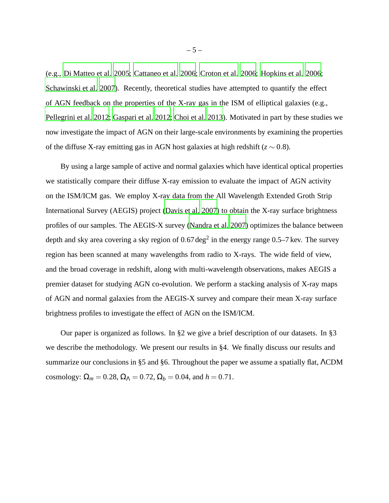(e.g., [Di Matteo et al. 2005;](#page-28-6) [Cattaneo et al. 2006;](#page-27-2) [Croton et al. 2006;](#page-28-1) [Hopkins et al. 2006](#page-29-6); [Schawinski et al. 2007](#page-30-13)). Recently, theoretical studies have attempted to quantify the effect of AGN feedback on the properties of the X-ray gas in the ISM of elliptical galaxies (e.g., [Pellegrini et al. 2012;](#page-30-14) [Gaspari et al. 2012](#page-28-8); [Choi et al. 2013\)](#page-27-6). Motivated in part by these studies we now investigate the impact of AGN on their large-scale environments by examining the properties of the diffuse X-ray emitting gas in AGN host galaxies at high redshift (*z* ∼ 0.8).

By using a large sample of active and normal galaxies which have identical optical properties we statistically compare their diffuse X-ray emission to evaluate the impact of AGN activity on the ISM/ICM gas. We employ X-ray data from the All Wavelength Extended Groth Strip International Survey (AEGIS) project [\(Davis et al. 2007\)](#page-28-9) to obtain the X-ray surface brightness profiles of our samples. The AEGIS-X survey [\(Nandra et al. 2007\)](#page-29-11) optimizes the balance between depth and sky area covering a sky region of  $0.67 \text{ deg}^2$  in the energy range  $0.5-7$  kev. The survey region has been scanned at many wavelengths from radio to X-rays. The wide field of view, and the broad coverage in redshift, along with multi-wavelength observations, makes AEGIS a premier dataset for studying AGN co-evolution. We perform a stacking analysis of X-ray maps of AGN and normal galaxies from the AEGIS-X survey and compare their mean X-ray surface brightness profiles to investigate the effect of AGN on the ISM/ICM.

Our paper is organized as follows. In §2 we give a brief description of our datasets. In §3 we describe the methodology. We present our results in §4. We finally discuss our results and summarize our conclusions in §5 and §6. Throughout the paper we assume a spatially flat, ΛCDM cosmology:  $\Omega_m = 0.28$ ,  $\Omega_{\Lambda} = 0.72$ ,  $\Omega_b = 0.04$ , and  $h = 0.71$ .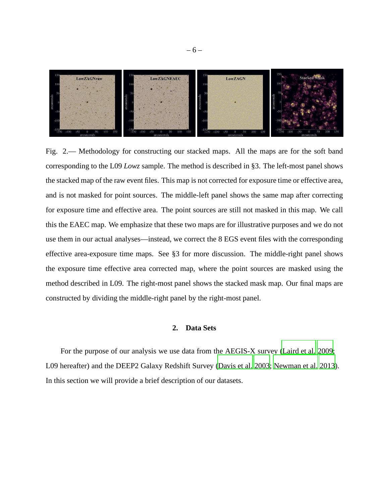

Fig. 2.— Methodology for constructing our stacked maps. All the maps are for the soft band corresponding to the L09 *Lowz* sample. The method is described in §3. The left-most panel shows the stacked map of the raw event files. This map is not corrected for exposure time or effective area, and is not masked for point sources. The middle-left panel shows the same map after correcting for exposure time and effective area. The point sources are still not masked in this map. We call this the EAEC map. We emphasize that these two maps are for illustrative purposes and we do not use them in our actual analyses—instead, we correct the 8 EGS event files with the corresponding effective area-exposure time maps. See §3 for more discussion. The middle-right panel shows the exposure time effective area corrected map, where the point sources are masked using the method described in L09. The right-most panel shows the stacked mask map. Our final maps are constructed by dividing the middle-right panel by the right-most panel.

# **2. Data Sets**

For the purpose of our analysis we use data from the AEGIS-X survey [\(Laird et al. 2009](#page-29-12); L09 hereafter) and the DEEP2 Galaxy Redshift Survey [\(Davis et al. 2003;](#page-28-10) [Newman et al. 2013](#page-29-13)). In this section we will provide a brief description of our datasets.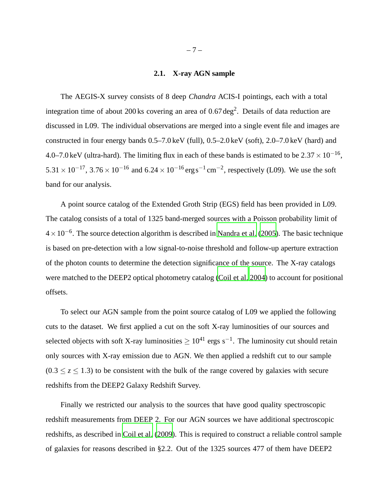# **2.1. X-ray AGN sample**

The AEGIS-X survey consists of 8 deep *Chandra* ACIS-I pointings, each with a total integration time of about 200 ks covering an area of  $0.67 \text{ deg}^2$ . Details of data reduction are discussed in L09. The individual observations are merged into a single event file and images are constructed in four energy bands 0.5–7.0 keV (full), 0.5–2.0 keV (soft), 2.0–7.0 keV (hard) and 4.0–7.0 keV (ultra-hard). The limiting flux in each of these bands is estimated to be  $2.37 \times 10^{-16}$ ,  $5.31 \times 10^{-17}$ ,  $3.76 \times 10^{-16}$  and  $6.24 \times 10^{-16}$  erg s<sup>-1</sup> cm<sup>-2</sup>, respectively (L09). We use the soft band for our analysis.

A point source catalog of the Extended Groth Strip (EGS) field has been provided in L09. The catalog consists of a total of 1325 band-merged sources with a Poisson probability limit of  $4 \times 10^{-6}$ . The source detection algorithm is described in [Nandra et al.](#page-29-14) [\(2005\)](#page-29-14). The basic technique is based on pre-detection with a low signal-to-noise threshold and follow-up aperture extraction of the photon counts to determine the detection significance of the source. The X-ray catalogs were matched to the DEEP2 optical photometry catalog [\(Coil et al. 2004](#page-27-13)) to account for positional offsets.

To select our AGN sample from the point source catalog of L09 we applied the following cuts to the dataset. We first applied a cut on the soft X-ray luminosities of our sources and selected objects with soft X-ray luminosities  $\geq 10^{41}$  ergs s<sup>-1</sup>. The luminosity cut should retain only sources with X-ray emission due to AGN. We then applied a redshift cut to our sample  $(0.3 \le z \le 1.3)$  to be consistent with the bulk of the range covered by galaxies with secure redshifts from the DEEP2 Galaxy Redshift Survey.

Finally we restricted our analysis to the sources that have good quality spectroscopic redshift measurements from DEEP 2. For our AGN sources we have additional spectroscopic redshifts, as described in [Coil et al. \(2009](#page-28-11)). This is required to construct a reliable control sample of galaxies for reasons described in §2.2. Out of the 1325 sources 477 of them have DEEP2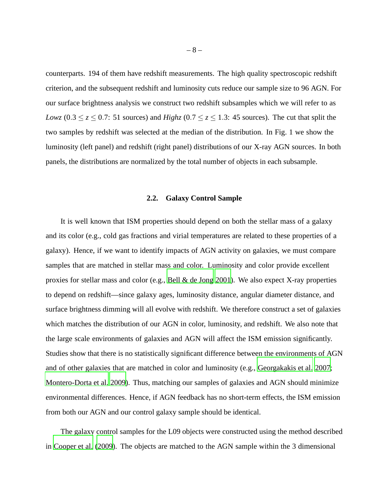counterparts. 194 of them have redshift measurements. The high quality spectroscopic redshift criterion, and the subsequent redshift and luminosity cuts reduce our sample size to 96 AGN. For our surface brightness analysis we construct two redshift subsamples which we will refer to as *Lowz* (0.3  $\le z \le 0.7$ : 51 sources) and *Highz* (0.7  $\le z \le 1.3$ : 45 sources). The cut that split the two samples by redshift was selected at the median of the distribution. In Fig. 1 we show the luminosity (left panel) and redshift (right panel) distributions of our X-ray AGN sources. In both panels, the distributions are normalized by the total number of objects in each subsample.

# **2.2. Galaxy Control Sample**

It is well known that ISM properties should depend on both the stellar mass of a galaxy and its color (e.g., cold gas fractions and virial temperatures are related to these properties of a galaxy). Hence, if we want to identify impacts of AGN activity on galaxies, we must compare samples that are matched in stellar mass and color. Luminosity and color provide excellent proxies for stellar mass and color (e.g., [Bell & de Jong 2001](#page-27-14)). We also expect X-ray properties to depend on redshift—since galaxy ages, luminosity distance, angular diameter distance, and surface brightness dimming will all evolve with redshift. We therefore construct a set of galaxies which matches the distribution of our AGN in color, luminosity, and redshift. We also note that the large scale environments of galaxies and AGN will affect the ISM emission significantly. Studies show that there is no statistically significant difference between the environments of AGN and of other galaxies that are matched in color and luminosity (e.g., [Georgakakis et al. 2007;](#page-28-12) [Montero-Dorta et al. 2009\)](#page-29-15). Thus, matching our samples of galaxies and AGN should minimize environmental differences. Hence, if AGN feedback has no short-term effects, the ISM emission from both our AGN and our control galaxy sample should be identical.

The galaxy control samples for the L09 objects were constructed using the method described in [Cooper et al.](#page-28-13) [\(2009\)](#page-28-13). The objects are matched to the AGN sample within the 3 dimensional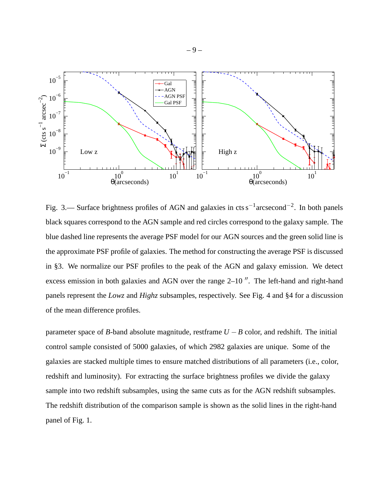

Fig. 3.— Surface brightness profiles of AGN and galaxies in cts s<sup>-1</sup>arcsecond<sup>-2</sup>. In both panels black squares correspond to the AGN sample and red circles correspond to the galaxy sample. The blue dashed line represents the average PSF model for our AGN sources and the green solid line is the approximate PSF profile of galaxies. The method for constructing the average PSF is discussed in §3. We normalize our PSF profiles to the peak of the AGN and galaxy emission. We detect excess emission in both galaxies and AGN over the range 2–10<sup>"</sup>. The left-hand and right-hand panels represent the *Lowz* and *Highz* subsamples, respectively. See Fig. 4 and §4 for a discussion of the mean difference profiles.

parameter space of *B*-band absolute magnitude, restframe  $U - B$  color, and redshift. The initial control sample consisted of 5000 galaxies, of which 2982 galaxies are unique. Some of the galaxies are stacked multiple times to ensure matched distributions of all parameters (i.e., color, redshift and luminosity). For extracting the surface brightness profiles we divide the galaxy sample into two redshift subsamples, using the same cuts as for the AGN redshift subsamples. The redshift distribution of the comparison sample is shown as the solid lines in the right-hand panel of Fig. 1.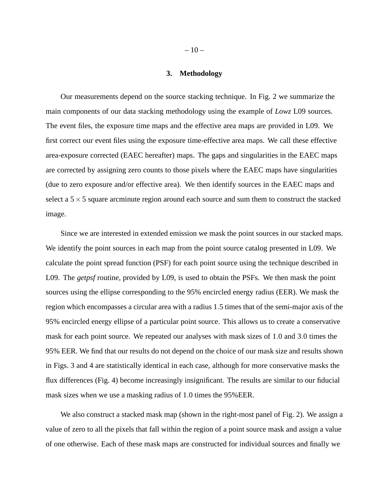# **3. Methodology**

Our measurements depend on the source stacking technique. In Fig. 2 we summarize the main components of our data stacking methodology using the example of *Lowz* L09 sources. The event files, the exposure time maps and the effective area maps are provided in L09. We first correct our event files using the exposure time-effective area maps. We call these effective area-exposure corrected (EAEC hereafter) maps. The gaps and singularities in the EAEC maps are corrected by assigning zero counts to those pixels where the EAEC maps have singularities (due to zero exposure and/or effective area). We then identify sources in the EAEC maps and select a  $5 \times 5$  square arcminute region around each source and sum them to construct the stacked image.

Since we are interested in extended emission we mask the point sources in our stacked maps. We identify the point sources in each map from the point source catalog presented in L09. We calculate the point spread function (PSF) for each point source using the technique described in L09. The *getpsf* routine, provided by L09, is used to obtain the PSFs. We then mask the point sources using the ellipse corresponding to the 95% encircled energy radius (EER). We mask the region which encompasses a circular area with a radius 1.5 times that of the semi-major axis of the 95% encircled energy ellipse of a particular point source. This allows us to create a conservative mask for each point source. We repeated our analyses with mask sizes of 1.0 and 3.0 times the 95% EER. We find that our results do not depend on the choice of our mask size and results shown in Figs. 3 and 4 are statistically identical in each case, although for more conservative masks the flux differences (Fig. 4) become increasingly insignificant. The results are similar to our fiducial mask sizes when we use a masking radius of 1.0 times the 95%EER.

We also construct a stacked mask map (shown in the right-most panel of Fig. 2). We assign a value of zero to all the pixels that fall within the region of a point source mask and assign a value of one otherwise. Each of these mask maps are constructed for individual sources and finally we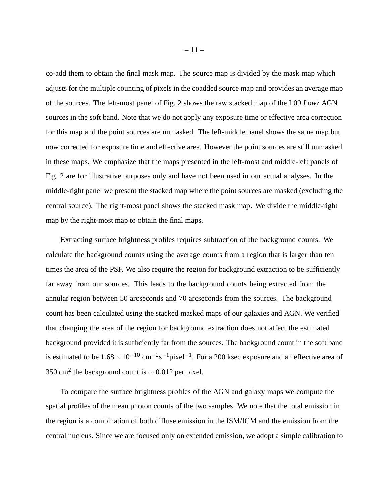co-add them to obtain the final mask map. The source map is divided by the mask map which adjusts for the multiple counting of pixels in the coadded source map and provides an average map of the sources. The left-most panel of Fig. 2 shows the raw stacked map of the L09 *Lowz* AGN sources in the soft band. Note that we do not apply any exposure time or effective area correction for this map and the point sources are unmasked. The left-middle panel shows the same map but now corrected for exposure time and effective area. However the point sources are still unmasked in these maps. We emphasize that the maps presented in the left-most and middle-left panels of Fig. 2 are for illustrative purposes only and have not been used in our actual analyses. In the middle-right panel we present the stacked map where the point sources are masked (excluding the central source). The right-most panel shows the stacked mask map. We divide the middle-right map by the right-most map to obtain the final maps.

Extracting surface brightness profiles requires subtraction of the background counts. We calculate the background counts using the average counts from a region that is larger than ten times the area of the PSF. We also require the region for background extraction to be sufficiently far away from our sources. This leads to the background counts being extracted from the annular region between 50 arcseconds and 70 arcseconds from the sources. The background count has been calculated using the stacked masked maps of our galaxies and AGN. We verified that changing the area of the region for background extraction does not affect the estimated background provided it is sufficiently far from the sources. The background count in the soft band is estimated to be  $1.68 \times 10^{-10}$  cm<sup>-2</sup>s<sup>-1</sup>pixel<sup>-1</sup>. For a 200 ksec exposure and an effective area of 350 cm<sup>2</sup> the background count is  $\sim$  0.012 per pixel.

To compare the surface brightness profiles of the AGN and galaxy maps we compute the spatial profiles of the mean photon counts of the two samples. We note that the total emission in the region is a combination of both diffuse emission in the ISM/ICM and the emission from the central nucleus. Since we are focused only on extended emission, we adopt a simple calibration to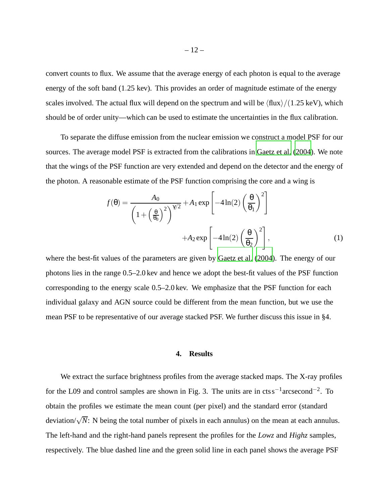convert counts to flux. We assume that the average energy of each photon is equal to the average energy of the soft band (1.25 kev). This provides an order of magnitude estimate of the energy scales involved. The actual flux will depend on the spectrum and will be  $\langle \text{flux}\rangle/(1.25 \text{ keV})$ , which should be of order unity—which can be used to estimate the uncertainties in the flux calibration.

To separate the diffuse emission from the nuclear emission we construct a model PSF for our sources. The average model PSF is extracted from the calibrations in [Gaetz et al. \(2004](#page-28-14)). We note that the wings of the PSF function are very extended and depend on the detector and the energy of the photon. A reasonable estimate of the PSF function comprising the core and a wing is

$$
f(\theta) = \frac{A_0}{\left(1 + \left(\frac{\theta}{\theta_0}\right)^2\right)^{\gamma/2}} + A_1 \exp\left[-4\ln(2)\left(\frac{\theta}{\theta_1}\right)^2\right] + A_2 \exp\left[-4\ln(2)\left(\frac{\theta}{\theta_2}\right)^2\right],
$$
 (1)

where the best-fit values of the parameters are given by [Gaetz](#page-28-14) et al. [\(2004\)](#page-28-14). The energy of our photons lies in the range 0.5–2.0 kev and hence we adopt the best-fit values of the PSF function corresponding to the energy scale 0.5–2.0 kev. We emphasize that the PSF function for each individual galaxy and AGN source could be different from the mean function, but we use the mean PSF to be representative of our average stacked PSF. We further discuss this issue in §4.

# **4. Results**

We extract the surface brightness profiles from the average stacked maps. The X-ray profiles for the L09 and control samples are shown in Fig. 3. The units are in  $ctss^{-1}$ arcsecond<sup>-2</sup>. To obtain the profiles we estimate the mean count (per pixel) and the standard error (standard deviation/ $\sqrt{N}$ : N being the total number of pixels in each annulus) on the mean at each annulus. The left-hand and the right-hand panels represent the profiles for the *Lowz* and *Highz* samples, respectively. The blue dashed line and the green solid line in each panel shows the average PSF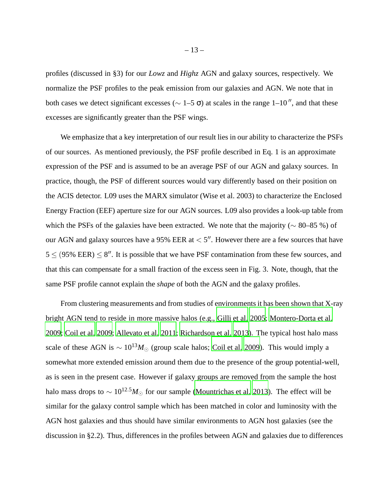profiles (discussed in §3) for our *Lowz* and *Highz* AGN and galaxy sources, respectively. We normalize the PSF profiles to the peak emission from our galaxies and AGN. We note that in both cases we detect significant excesses ( $\sim 1-5 \sigma$ ) at scales in the range 1–10<sup>''</sup>, and that these excesses are significantly greater than the PSF wings.

We emphasize that a key interpretation of our result lies in our ability to characterize the PSFs of our sources. As mentioned previously, the PSF profile described in Eq. 1 is an approximate expression of the PSF and is assumed to be an average PSF of our AGN and galaxy sources. In practice, though, the PSF of different sources would vary differently based on their position on the ACIS detector. L09 uses the MARX simulator (Wise et al. 2003) to characterize the Enclosed Energy Fraction (EEF) aperture size for our AGN sources. L09 also provides a look-up table from which the PSFs of the galaxies have been extracted. We note that the majority ( $\sim 80-85$ %) of our AGN and galaxy sources have a 95% EER at  $<$  5". However there are a few sources that have  $5 \le (95\% \text{ EER}) \le 8''$ . It is possible that we have PSF contamination from these few sources, and that this can compensate for a small fraction of the excess seen in Fig. 3. Note, though, that the same PSF profile cannot explain the *shape* of both the AGN and the galaxy profiles.

From clustering measurements and from studies of environments it has been shown that X-ray bright AGN tend to reside in more massive halos (e.g., [Gilli et al. 2005;](#page-28-15) [Montero-Dorta et al.](#page-29-15) [2009;](#page-29-15) [Coil et al. 2009;](#page-28-11) [Allevato et al. 2011](#page-27-15); [Richardson et al. 2013\)](#page-30-15). The typical host halo mass scale of these AGN is  $\sim 10^{13} M_{\odot}$  (group scale halos; [Coil et al. 2009\)](#page-28-11). This would imply a somewhat more extended emission around them due to the presence of the group potential-well, as is seen in the present case. However if galaxy groups are removed from the sample the host halo mass drops to  $\sim 10^{12.5} M_{\odot}$  for our sample [\(Mountrichas et al. 2013](#page-29-16)). The effect will be similar for the galaxy control sample which has been matched in color and luminosity with the AGN host galaxies and thus should have similar environments to AGN host galaxies (see the discussion in §2.2). Thus, differences in the profiles between AGN and galaxies due to differences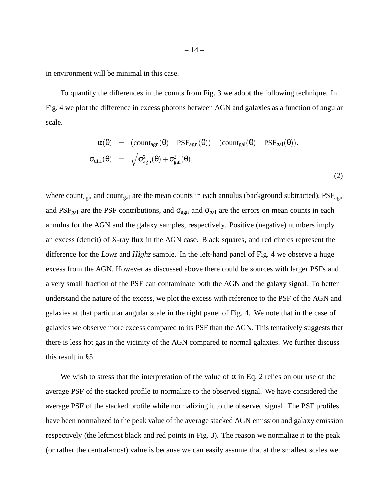in environment will be minimal in this case.

To quantify the differences in the counts from Fig. 3 we adopt the following technique. In Fig. 4 we plot the difference in excess photons between AGN and galaxies as a function of angular scale.

$$
\alpha(\theta) = (\text{count}_{\text{agn}}(\theta) - \text{PSF}_{\text{agn}}(\theta)) - (\text{count}_{\text{gal}}(\theta) - \text{PSF}_{\text{gal}}(\theta)),
$$
  

$$
\sigma_{\text{diff}}(\theta) = \sqrt{\sigma_{\text{agn}}^2(\theta) + \sigma_{\text{gal}}^2(\theta)},
$$
\n(2)

where count<sub>agn</sub> and count<sub>gal</sub> are the mean counts in each annulus (background subtracted),  $PSF<sub>agn</sub>$ and PSF<sub>gal</sub> are the PSF contributions, and  $\sigma_{\text{agn}}$  and  $\sigma_{\text{gal}}$  are the errors on mean counts in each annulus for the AGN and the galaxy samples, respectively. Positive (negative) numbers imply an excess (deficit) of X-ray flux in the AGN case. Black squares, and red circles represent the difference for the *Lowz* and *Highz* sample. In the left-hand panel of Fig. 4 we observe a huge excess from the AGN. However as discussed above there could be sources with larger PSFs and a very small fraction of the PSF can contaminate both the AGN and the galaxy signal. To better understand the nature of the excess, we plot the excess with reference to the PSF of the AGN and galaxies at that particular angular scale in the right panel of Fig. 4. We note that in the case of galaxies we observe more excess compared to its PSF than the AGN. This tentatively suggests that there is less hot gas in the vicinity of the AGN compared to normal galaxies. We further discuss this result in §5.

We wish to stress that the interpretation of the value of  $\alpha$  in Eq. 2 relies on our use of the average PSF of the stacked profile to normalize to the observed signal. We have considered the average PSF of the stacked profile while normalizing it to the observed signal. The PSF profiles have been normalized to the peak value of the average stacked AGN emission and galaxy emission respectively (the leftmost black and red points in Fig. 3). The reason we normalize it to the peak (or rather the central-most) value is because we can easily assume that at the smallest scales we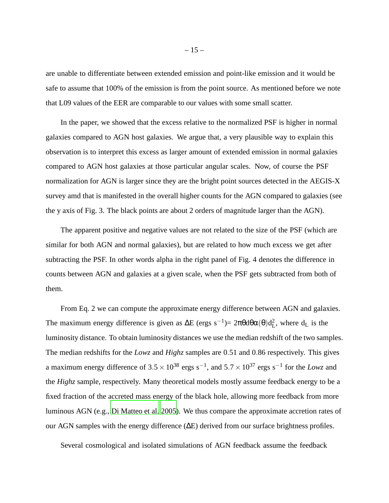are unable to differentiate between extended emission and point-like emission and it would be safe to assume that 100% of the emission is from the point source. As mentioned before we note that L09 values of the EER are comparable to our values with some small scatter.

In the paper, we showed that the excess relative to the normalized PSF is higher in normal galaxies compared to AGN host galaxies. We argue that, a very plausible way to explain this observation is to interpret this excess as larger amount of extended emission in normal galaxies compared to AGN host galaxies at those particular angular scales. Now, of course the PSF normalization for AGN is larger since they are the bright point sources detected in the AEGIS-X survey amd that is manifested in the overall higher counts for the AGN compared to galaxies (see the y axis of Fig. 3. The black points are about 2 orders of magnitude larger than the AGN).

The apparent positive and negative values are not related to the size of the PSF (which are similar for both AGN and normal galaxies), but are related to how much excess we get after subtracting the PSF. In other words alpha in the right panel of Fig. 4 denotes the difference in counts between AGN and galaxies at a given scale, when the PSF gets subtracted from both of them.

From Eq. 2 we can compute the approximate energy difference between AGN and galaxies. The maximum energy difference is given as  $\Delta E$  (ergs s<sup>-1</sup>)=  $2\pi\theta d\theta \alpha(\theta) d_L^2$ , where  $d_L$  is the luminosity distance. To obtain luminosity distances we use the median redshift of the two samples. The median redshifts for the *Lowz* and *Highz* samples are 0.51 and 0.86 respectively. This gives a maximum energy difference of  $3.5 \times 10^{38}$  ergs s<sup>-1</sup>, and  $5.7 \times 10^{37}$  ergs s<sup>-1</sup> for the *Lowz* and the *Highz* sample, respectively. Many theoretical models mostly assume feedback energy to be a fixed fraction of the accreted mass energy of the black hole, allowing more feedback from more luminous AGN (e.g., [Di Matteo et al. 2005\)](#page-28-6). We thus compare the approximate accretion rates of our AGN samples with the energy difference (∆E) derived from our surface brightness profiles.

Several cosmological and isolated simulations of AGN feedback assume the feedback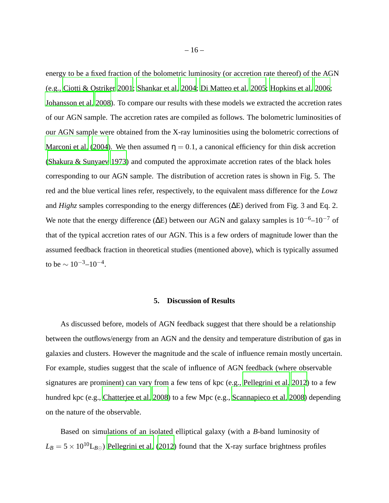energy to be a fixed fraction of the bolometric luminosity (or accretion rate thereof) of the AGN (e.g., [Ciotti & Ostriker 2001](#page-27-1); [Shankar et al. 2004;](#page-30-5) [Di Matteo](#page-28-6) et al. [2005;](#page-28-6) [Hopkins et al. 2006;](#page-29-6) [Johansson et al. 2008](#page-29-8)). To compare our results with these models we extracted the accretion rates of our AGN sample. The accretion rates are compiled as follows. The bolometric luminosities of our AGN sample were obtained from the X-ray luminosities using the bolometric corrections of [Marconi et al. \(2004](#page-29-5)). We then assumed  $\eta = 0.1$ , a canonical efficiency for thin disk accretion [\(Shakura & Sunyaev 1973\)](#page-30-16) and computed the approximate accretion rates of the black holes corresponding to our AGN sample. The distribution of accretion rates is shown in Fig. 5. The red and the blue vertical lines refer, respectively, to the equivalent mass difference for the *Lowz* and *Highz* samples corresponding to the energy differences (∆E) derived from Fig. 3 and Eq. 2. We note that the energy difference ( $\Delta E$ ) between our AGN and galaxy samples is 10<sup>-6</sup>–10<sup>-7</sup> of that of the typical accretion rates of our AGN. This is a few orders of magnitude lower than the assumed feedback fraction in theoretical studies (mentioned above), which is typically assumed to be  $\sim 10^{-3}$ – $10^{-4}$ .

# **5. Discussion of Results**

As discussed before, models of AGN feedback suggest that there should be a relationship between the outflows/energy from an AGN and the density and temperature distribution of gas in galaxies and clusters. However the magnitude and the scale of influence remain mostly uncertain. For example, studies suggest that the scale of influence of AGN feedback (where observable signatures are prominent) can vary from a few tens of kpc (e.g., [Pellegrini et al. 2012](#page-30-14)) to a few hundred kpc (e.g., [Chatterjee et al. 2008\)](#page-27-9) to a few Mpc (e.g., [Scannapieco et al. 2008](#page-30-12)) depending on the nature of the observable.

Based on simulations of an isolated elliptical galaxy (with a *B*-band luminosity of  $L_B = 5 \times 10^{10}$ *L<sub>B</sub>*⊙) [Pellegrini et al.](#page-30-14) [\(2012\)](#page-30-14) found that the X-ray surface brightness profiles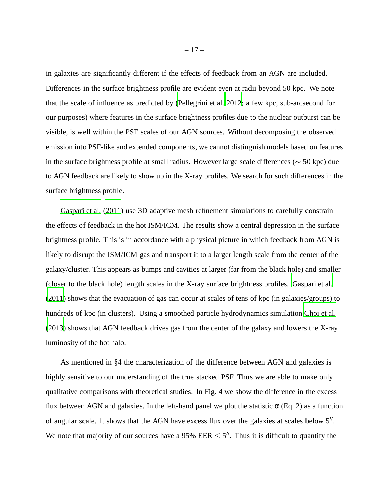in galaxies are significantly different if the effects of feedback from an AGN are included. Differences in the surface brightness profile are evident even at radii beyond 50 kpc. We note that the scale of influence as predicted by [\(Pellegrini et al.](#page-30-14) [2012;](#page-30-14) a few kpc, sub-arcsecond for our purposes) where features in the surface brightness profiles due to the nuclear outburst can be visible, is well within the PSF scales of our AGN sources. Without decomposing the observed emission into PSF-like and extended components, we cannot distinguish models based on features in the surface brightness profile at small radius. However large scale differences (∼ 50 kpc) due to AGN feedback are likely to show up in the X-ray profiles. We search for such differences in the surface brightness profile.

[Gaspari et al. \(2011](#page-28-7)) use 3D adaptive mesh refinement simulations to carefully constrain the effects of feedback in the hot ISM/ICM. The results show a central depression in the surface brightness profile. This is in accordance with a physical picture in which feedback from AGN is likely to disrupt the ISM/ICM gas and transport it to a larger length scale from the center of the galaxy/cluster. This appears as bumps and cavities at larger (far from the black hole) and smaller (closer to the black hole) length scales in the X-ray surface brightness profiles. [Gaspari et al.](#page-28-7) [\(2011\)](#page-28-7) shows that the evacuation of gas can occur at scales of tens of kpc (in galaxies/groups) to hundreds of kpc (in clusters). Using a smoothed particle hydrodynamics simulation [Choi et al.](#page-27-6) [\(2013\)](#page-27-6) shows that AGN feedback drives gas from the center of the galaxy and lowers the X-ray luminosity of the hot halo.

As mentioned in §4 the characterization of the difference between AGN and galaxies is highly sensitive to our understanding of the true stacked PSF. Thus we are able to make only qualitative comparisons with theoretical studies. In Fig. 4 we show the difference in the excess flux between AGN and galaxies. In the left-hand panel we plot the statistic  $\alpha$  (Eq. 2) as a function of angular scale. It shows that the AGN have excess flux over the galaxies at scales below 5''. We note that majority of our sources have a 95%  $EER \le 5$ ". Thus it is difficult to quantify the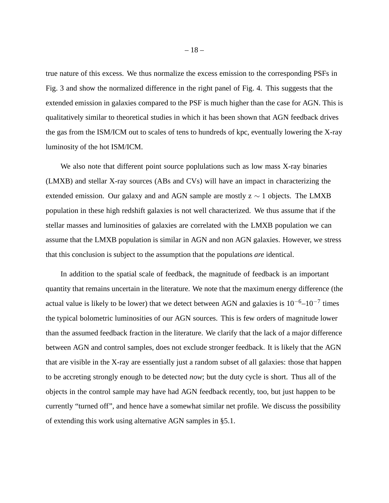true nature of this excess. We thus normalize the excess emission to the corresponding PSFs in Fig. 3 and show the normalized difference in the right panel of Fig. 4. This suggests that the extended emission in galaxies compared to the PSF is much higher than the case for AGN. This is qualitatively similar to theoretical studies in which it has been shown that AGN feedback drives the gas from the ISM/ICM out to scales of tens to hundreds of kpc, eventually lowering the X-ray luminosity of the hot ISM/ICM.

We also note that different point source poplulations such as low mass X-ray binaries (LMXB) and stellar X-ray sources (ABs and CVs) will have an impact in characterizing the extended emission. Our galaxy and and AGN sample are mostly  $z \sim 1$  objects. The LMXB population in these high redshift galaxies is not well characterized. We thus assume that if the stellar masses and luminosities of galaxies are correlated with the LMXB population we can assume that the LMXB population is similar in AGN and non AGN galaxies. However, we stress that this conclusion is subject to the assumption that the populations *are* identical.

In addition to the spatial scale of feedback, the magnitude of feedback is an important quantity that remains uncertain in the literature. We note that the maximum energy difference (the actual value is likely to be lower) that we detect between AGN and galaxies is  $10^{-6}$ – $10^{-7}$  times the typical bolometric luminosities of our AGN sources. This is few orders of magnitude lower than the assumed feedback fraction in the literature. We clarify that the lack of a major difference between AGN and control samples, does not exclude stronger feedback. It is likely that the AGN that are visible in the X-ray are essentially just a random subset of all galaxies: those that happen to be accreting strongly enough to be detected *now*; but the duty cycle is short. Thus all of the objects in the control sample may have had AGN feedback recently, too, but just happen to be currently "turned off", and hence have a somewhat similar net profile. We discuss the possibility of extending this work using alternative AGN samples in §5.1.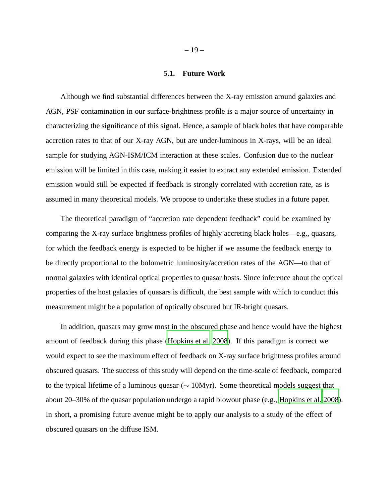# **5.1. Future Work**

Although we find substantial differences between the X-ray emission around galaxies and AGN, PSF contamination in our surface-brightness profile is a major source of uncertainty in characterizing the significance of this signal. Hence, a sample of black holes that have comparable accretion rates to that of our X-ray AGN, but are under-luminous in X-rays, will be an ideal sample for studying AGN-ISM/ICM interaction at these scales. Confusion due to the nuclear emission will be limited in this case, making it easier to extract any extended emission. Extended emission would still be expected if feedback is strongly correlated with accretion rate, as is assumed in many theoretical models. We propose to undertake these studies in a future paper.

The theoretical paradigm of "accretion rate dependent feedback" could be examined by comparing the X-ray surface brightness profiles of highly accreting black holes—e.g., quasars, for which the feedback energy is expected to be higher if we assume the feedback energy to be directly proportional to the bolometric luminosity/accretion rates of the AGN—to that of normal galaxies with identical optical properties to quasar hosts. Since inference about the optical properties of the host galaxies of quasars is difficult, the best sample with which to conduct this measurement might be a population of optically obscured but IR-bright quasars.

In addition, quasars may grow most in the obscured phase and hence would have the highest amount of feedback during this phase [\(Hopkins et al. 2008\)](#page-28-16). If this paradigm is correct we would expect to see the maximum effect of feedback on X-ray surface brightness profiles around obscured quasars. The success of this study will depend on the time-scale of feedback, compared to the typical lifetime of a luminous quasar (∼ 10Myr). Some theoretical models suggest that about 20–30% of the quasar population undergo a rapid blowout phase (e.g., [Hopkins et al. 2008](#page-28-16)). In short, a promising future avenue might be to apply our analysis to a study of the effect of obscured quasars on the diffuse ISM.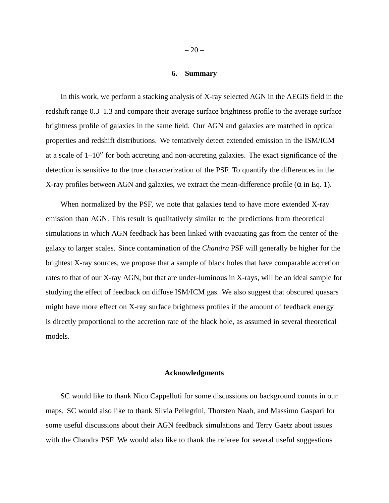## **6. Summary**

In this work, we perform a stacking analysis of X-ray selected AGN in the AEGIS field in the redshift range 0.3–1.3 and compare their average surface brightness profile to the average surface brightness profile of galaxies in the same field. Our AGN and galaxies are matched in optical properties and redshift distributions. We tentatively detect extended emission in the ISM/ICM at a scale of  $1-10''$  for both accreting and non-accreting galaxies. The exact significance of the detection is sensitive to the true characterization of the PSF. To quantify the differences in the X-ray profiles between AGN and galaxies, we extract the mean-difference profile ( $\alpha$  in Eq. 1).

When normalized by the PSF, we note that galaxies tend to have more extended X-ray emission than AGN. This result is qualitatively similar to the predictions from theoretical simulations in which AGN feedback has been linked with evacuating gas from the center of the galaxy to larger scales. Since contamination of the *Chandra* PSF will generally be higher for the brightest X-ray sources, we propose that a sample of black holes that have comparable accretion rates to that of our X-ray AGN, but that are under-luminous in X-rays, will be an ideal sample for studying the effect of feedback on diffuse ISM/ICM gas. We also suggest that obscured quasars might have more effect on X-ray surface brightness profiles if the amount of feedback energy is directly proportional to the accretion rate of the black hole, as assumed in several theoretical models.

# **Acknowledgments**

SC would like to thank Nico Cappelluti for some discussions on background counts in our maps. SC would also like to thank Silvia Pellegrini, Thorsten Naab, and Massimo Gaspari for some useful discussions about their AGN feedback simulations and Terry Gaetz about issues with the Chandra PSF. We would also like to thank the referee for several useful suggestions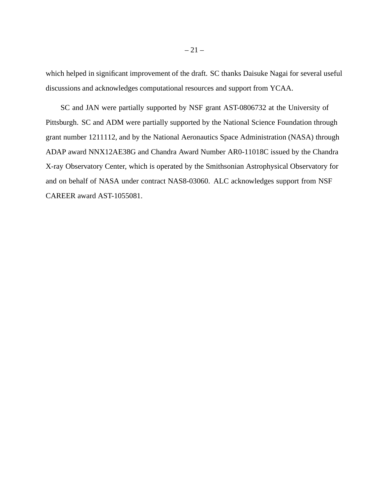which helped in significant improvement of the draft. SC thanks Daisuke Nagai for several useful discussions and acknowledges computational resources and support from YCAA.

SC and JAN were partially supported by NSF grant AST-0806732 at the University of Pittsburgh. SC and ADM were partially supported by the National Science Foundation through grant number 1211112, and by the National Aeronautics Space Administration (NASA) through ADAP award NNX12AE38G and Chandra Award Number AR0-11018C issued by the Chandra X-ray Observatory Center, which is operated by the Smithsonian Astrophysical Observatory for and on behalf of NASA under contract NAS8-03060. ALC acknowledges support from NSF CAREER award AST-1055081.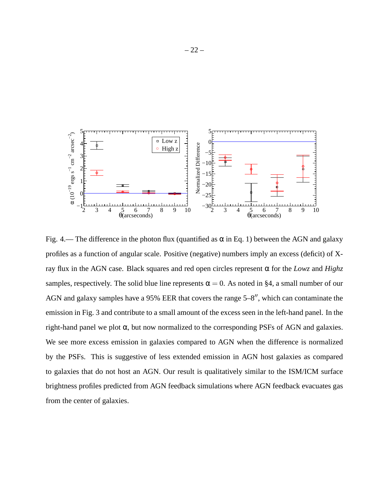

Fig. 4.— The difference in the photon flux (quantified as  $\alpha$  in Eq. 1) between the AGN and galaxy profiles as a function of angular scale. Positive (negative) numbers imply an excess (deficit) of Xray flux in the AGN case. Black squares and red open circles represent α for the *Lowz* and *Highz* samples, respectively. The solid blue line represents  $\alpha = 0$ . As noted in §4, a small number of our AGN and galaxy samples have a 95% EER that covers the range 5–8′′, which can contaminate the emission in Fig. 3 and contribute to a small amount of the excess seen in the left-hand panel. In the right-hand panel we plot α, but now normalized to the corresponding PSFs of AGN and galaxies. We see more excess emission in galaxies compared to AGN when the difference is normalized by the PSFs. This is suggestive of less extended emission in AGN host galaxies as compared to galaxies that do not host an AGN. Our result is qualitatively similar to the ISM/ICM surface brightness profiles predicted from AGN feedback simulations where AGN feedback evacuates gas from the center of galaxies.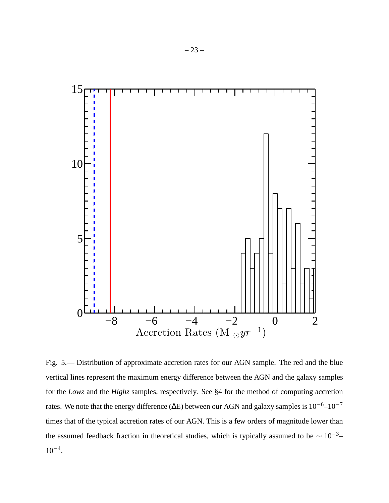

Fig. 5.— Distribution of approximate accretion rates for our AGN sample. The red and the blue vertical lines represent the maximum energy difference between the AGN and the galaxy samples for the *Lowz* and the *Highz* samples, respectively. See §4 for the method of computing accretion rates. We note that the energy difference ( $\Delta E$ ) between our AGN and galaxy samples is  $10^{-6}$ – $10^{-7}$ times that of the typical accretion rates of our AGN. This is a few orders of magnitude lower than the assumed feedback fraction in theoretical studies, which is typically assumed to be  $\sim 10^{-3}$ –  $10^{-4}$ .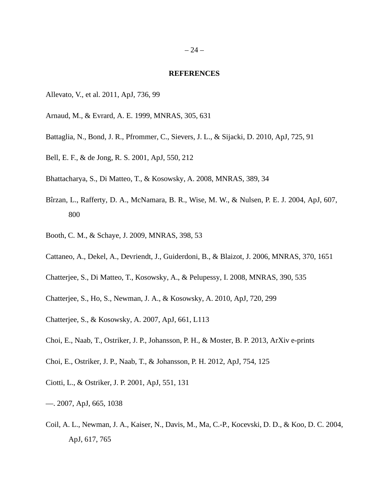#### **REFERENCES**

- Allevato, V., et al. 2011, ApJ, 736, 99
- Arnaud, M., & Evrard, A. E. 1999, MNRAS, 305, 631
- Battaglia, N., Bond, J. R., Pfrommer, C., Sievers, J. L., & Sijacki, D. 2010, ApJ, 725, 91
- Bell, E. F., & de Jong, R. S. 2001, ApJ, 550, 212
- Bhattacharya, S., Di Matteo, T., & Kosowsky, A. 2008, MNRAS, 389, 34
- Bîrzan, L., Rafferty, D. A., McNamara, B. R., Wise, M. W., & Nulsen, P. E. J. 2004, ApJ, 607, 800
- Booth, C. M., & Schaye, J. 2009, MNRAS, 398, 53
- Cattaneo, A., Dekel, A., Devriendt, J., Guiderdoni, B., & Blaizot, J. 2006, MNRAS, 370, 1651
- Chatterjee, S., Di Matteo, T., Kosowsky, A., & Pelupessy, I. 2008, MNRAS, 390, 535
- Chatterjee, S., Ho, S., Newman, J. A., & Kosowsky, A. 2010, ApJ, 720, 299
- Chatterjee, S., & Kosowsky, A. 2007, ApJ, 661, L113
- Choi, E., Naab, T., Ostriker, J. P., Johansson, P. H., & Moster, B. P. 2013, ArXiv e-prints
- Choi, E., Ostriker, J. P., Naab, T., & Johansson, P. H. 2012, ApJ, 754, 125
- Ciotti, L., & Ostriker, J. P. 2001, ApJ, 551, 131
- —. 2007, ApJ, 665, 1038
- Coil, A. L., Newman, J. A., Kaiser, N., Davis, M., Ma, C.-P., Kocevski, D. D., & Koo, D. C. 2004, ApJ, 617, 765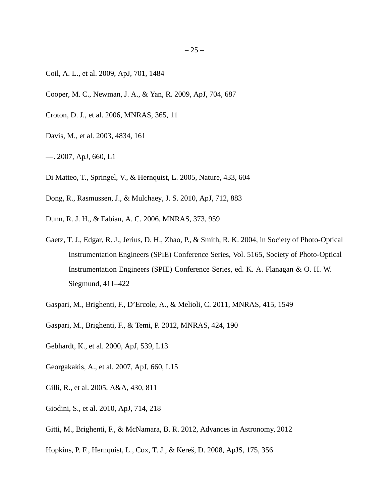- Coil, A. L., et al. 2009, ApJ, 701, 1484
- Cooper, M. C., Newman, J. A., & Yan, R. 2009, ApJ, 704, 687
- Croton, D. J., et al. 2006, MNRAS, 365, 11
- Davis, M., et al. 2003, 4834, 161
- —. 2007, ApJ, 660, L1
- Di Matteo, T., Springel, V., & Hernquist, L. 2005, Nature, 433, 604
- Dong, R., Rasmussen, J., & Mulchaey, J. S. 2010, ApJ, 712, 883
- Dunn, R. J. H., & Fabian, A. C. 2006, MNRAS, 373, 959
- Gaetz, T. J., Edgar, R. J., Jerius, D. H., Zhao, P., & Smith, R. K. 2004, in Society of Photo-Optical Instrumentation Engineers (SPIE) Conference Series, Vol. 5165, Society of Photo-Optical Instrumentation Engineers (SPIE) Conference Series, ed. K. A. Flanagan & O. H. W. Siegmund, 411–422
- Gaspari, M., Brighenti, F., D'Ercole, A., & Melioli, C. 2011, MNRAS, 415, 1549
- Gaspari, M., Brighenti, F., & Temi, P. 2012, MNRAS, 424, 190
- Gebhardt, K., et al. 2000, ApJ, 539, L13
- Georgakakis, A., et al. 2007, ApJ, 660, L15
- Gilli, R., et al. 2005, A&A, 430, 811
- Giodini, S., et al. 2010, ApJ, 714, 218
- Gitti, M., Brighenti, F., & McNamara, B. R. 2012, Advances in Astronomy, 2012
- Hopkins, P. F., Hernquist, L., Cox, T. J., & Kereš, D. 2008, ApJS, 175, 356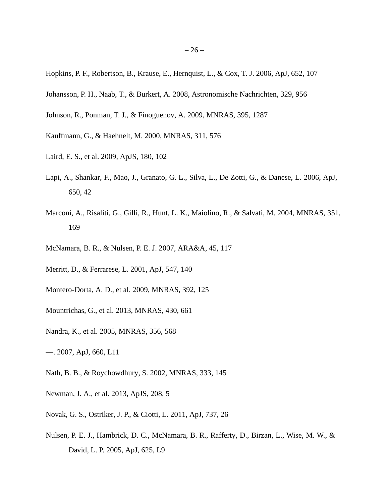- Hopkins, P. F., Robertson, B., Krause, E., Hernquist, L., & Cox, T. J. 2006, ApJ, 652, 107
- Johansson, P. H., Naab, T., & Burkert, A. 2008, Astronomische Nachrichten, 329, 956
- Johnson, R., Ponman, T. J., & Finoguenov, A. 2009, MNRAS, 395, 1287
- Kauffmann, G., & Haehnelt, M. 2000, MNRAS, 311, 576
- Laird, E. S., et al. 2009, ApJS, 180, 102
- Lapi, A., Shankar, F., Mao, J., Granato, G. L., Silva, L., De Zotti, G., & Danese, L. 2006, ApJ, 650, 42
- Marconi, A., Risaliti, G., Gilli, R., Hunt, L. K., Maiolino, R., & Salvati, M. 2004, MNRAS, 351, 169
- McNamara, B. R., & Nulsen, P. E. J. 2007, ARA&A, 45, 117
- Merritt, D., & Ferrarese, L. 2001, ApJ, 547, 140
- Montero-Dorta, A. D., et al. 2009, MNRAS, 392, 125
- Mountrichas, G., et al. 2013, MNRAS, 430, 661
- Nandra, K., et al. 2005, MNRAS, 356, 568
- —. 2007, ApJ, 660, L11
- Nath, B. B., & Roychowdhury, S. 2002, MNRAS, 333, 145
- Newman, J. A., et al. 2013, ApJS, 208, 5
- Novak, G. S., Ostriker, J. P., & Ciotti, L. 2011, ApJ, 737, 26
- Nulsen, P. E. J., Hambrick, D. C., McNamara, B. R., Rafferty, D., Birzan, L., Wise, M. W., & David, L. P. 2005, ApJ, 625, L9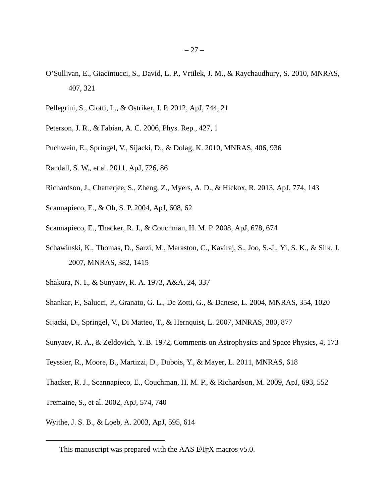- O'Sullivan, E., Giacintucci, S., David, L. P., Vrtilek, J. M., & Raychaudhury, S. 2010, MNRAS, 407, 321
- Pellegrini, S., Ciotti, L., & Ostriker, J. P. 2012, ApJ, 744, 21
- Peterson, J. R., & Fabian, A. C. 2006, Phys. Rep., 427, 1
- Puchwein, E., Springel, V., Sijacki, D., & Dolag, K. 2010, MNRAS, 406, 936
- Randall, S. W., et al. 2011, ApJ, 726, 86
- Richardson, J., Chatterjee, S., Zheng, Z., Myers, A. D., & Hickox, R. 2013, ApJ, 774, 143
- Scannapieco, E., & Oh, S. P. 2004, ApJ, 608, 62
- Scannapieco, E., Thacker, R. J., & Couchman, H. M. P. 2008, ApJ, 678, 674
- Schawinski, K., Thomas, D., Sarzi, M., Maraston, C., Kaviraj, S., Joo, S.-J., Yi, S. K., & Silk, J. 2007, MNRAS, 382, 1415
- Shakura, N. I., & Sunyaev, R. A. 1973, A&A, 24, 337
- Shankar, F., Salucci, P., Granato, G. L., De Zotti, G., & Danese, L. 2004, MNRAS, 354, 1020
- Sijacki, D., Springel, V., Di Matteo, T., & Hernquist, L. 2007, MNRAS, 380, 877
- Sunyaev, R. A., & Zeldovich, Y. B. 1972, Comments on Astrophysics and Space Physics, 4, 173
- Teyssier, R., Moore, B., Martizzi, D., Dubois, Y., & Mayer, L. 2011, MNRAS, 618
- Thacker, R. J., Scannapieco, E., Couchman, H. M. P., & Richardson, M. 2009, ApJ, 693, 552
- Tremaine, S., et al. 2002, ApJ, 574, 740
- Wyithe, J. S. B., & Loeb, A. 2003, ApJ, 595, 614

This manuscript was prepared with the AAS LAT<sub>EX</sub> macros v5.0.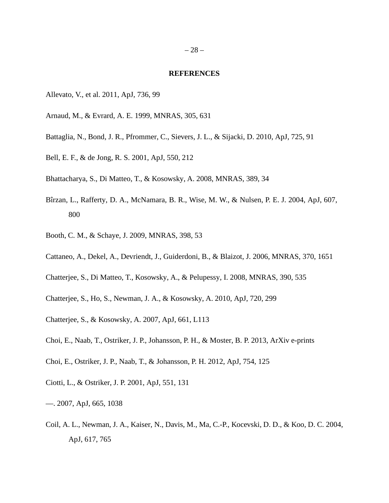#### **REFERENCES**

- <span id="page-27-15"></span>Allevato, V., et al. 2011, ApJ, 736, 99
- <span id="page-27-7"></span>Arnaud, M., & Evrard, A. E. 1999, MNRAS, 305, 631
- <span id="page-27-12"></span>Battaglia, N., Bond, J. R., Pfrommer, C., Sievers, J. L., & Sijacki, D. 2010, ApJ, 725, 91
- <span id="page-27-14"></span>Bell, E. F., & de Jong, R. S. 2001, ApJ, 550, 212
- <span id="page-27-8"></span>Bhattacharya, S., Di Matteo, T., & Kosowsky, A. 2008, MNRAS, 389, 34
- <span id="page-27-0"></span>Bîrzan, L., Rafferty, D. A., McNamara, B. R., Wise, M. W., & Nulsen, P. E. J. 2004, ApJ, 607, 800
- <span id="page-27-3"></span>Booth, C. M., & Schaye, J. 2009, MNRAS, 398, 53
- <span id="page-27-2"></span>Cattaneo, A., Dekel, A., Devriendt, J., Guiderdoni, B., & Blaizot, J. 2006, MNRAS, 370, 1651
- <span id="page-27-9"></span>Chatterjee, S., Di Matteo, T., Kosowsky, A., & Pelupessy, I. 2008, MNRAS, 390, 535
- <span id="page-27-10"></span>Chatterjee, S., Ho, S., Newman, J. A., & Kosowsky, A. 2010, ApJ, 720, 299
- <span id="page-27-11"></span>Chatterjee, S., & Kosowsky, A. 2007, ApJ, 661, L113
- <span id="page-27-6"></span>Choi, E., Naab, T., Ostriker, J. P., Johansson, P. H., & Moster, B. P. 2013, ArXiv e-prints
- <span id="page-27-5"></span>Choi, E., Ostriker, J. P., Naab, T., & Johansson, P. H. 2012, ApJ, 754, 125
- <span id="page-27-1"></span>Ciotti, L., & Ostriker, J. P. 2001, ApJ, 551, 131
- <span id="page-27-4"></span>—. 2007, ApJ, 665, 1038
- <span id="page-27-13"></span>Coil, A. L., Newman, J. A., Kaiser, N., Davis, M., Ma, C.-P., Kocevski, D. D., & Koo, D. C. 2004, ApJ, 617, 765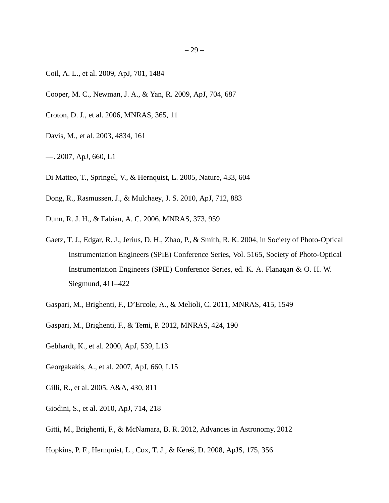- <span id="page-28-11"></span>Coil, A. L., et al. 2009, ApJ, 701, 1484
- <span id="page-28-13"></span>Cooper, M. C., Newman, J. A., & Yan, R. 2009, ApJ, 704, 687
- <span id="page-28-1"></span>Croton, D. J., et al. 2006, MNRAS, 365, 11
- <span id="page-28-10"></span>Davis, M., et al. 2003, 4834, 161
- <span id="page-28-9"></span>—. 2007, ApJ, 660, L1
- <span id="page-28-6"></span>Di Matteo, T., Springel, V., & Hernquist, L. 2005, Nature, 433, 604
- <span id="page-28-5"></span>Dong, R., Rasmussen, J., & Mulchaey, J. S. 2010, ApJ, 712, 883
- <span id="page-28-2"></span>Dunn, R. J. H., & Fabian, A. C. 2006, MNRAS, 373, 959
- <span id="page-28-14"></span>Gaetz, T. J., Edgar, R. J., Jerius, D. H., Zhao, P., & Smith, R. K. 2004, in Society of Photo-Optical Instrumentation Engineers (SPIE) Conference Series, Vol. 5165, Society of Photo-Optical Instrumentation Engineers (SPIE) Conference Series, ed. K. A. Flanagan & O. H. W. Siegmund, 411–422
- <span id="page-28-7"></span>Gaspari, M., Brighenti, F., D'Ercole, A., & Melioli, C. 2011, MNRAS, 415, 1549
- <span id="page-28-8"></span>Gaspari, M., Brighenti, F., & Temi, P. 2012, MNRAS, 424, 190
- <span id="page-28-0"></span>Gebhardt, K., et al. 2000, ApJ, 539, L13
- <span id="page-28-12"></span>Georgakakis, A., et al. 2007, ApJ, 660, L15
- <span id="page-28-15"></span>Gilli, R., et al. 2005, A&A, 430, 811
- <span id="page-28-4"></span>Giodini, S., et al. 2010, ApJ, 714, 218
- <span id="page-28-3"></span>Gitti, M., Brighenti, F., & McNamara, B. R. 2012, Advances in Astronomy, 2012
- <span id="page-28-16"></span>Hopkins, P. F., Hernquist, L., Cox, T. J., & Kereš, D. 2008, ApJS, 175, 356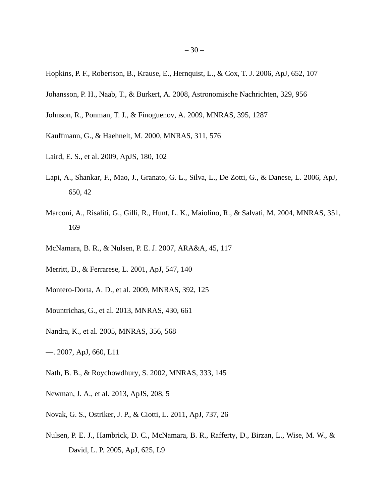- <span id="page-29-6"></span>Hopkins, P. F., Robertson, B., Krause, E., Hernquist, L., & Cox, T. J. 2006, ApJ, 652, 107
- <span id="page-29-8"></span>Johansson, P. H., Naab, T., & Burkert, A. 2008, Astronomische Nachrichten, 329, 956
- <span id="page-29-3"></span>Johnson, R., Ponman, T. J., & Finoguenov, A. 2009, MNRAS, 395, 1287
- <span id="page-29-4"></span>Kauffmann, G., & Haehnelt, M. 2000, MNRAS, 311, 576
- <span id="page-29-12"></span>Laird, E. S., et al. 2009, ApJS, 180, 102
- <span id="page-29-7"></span>Lapi, A., Shankar, F., Mao, J., Granato, G. L., Silva, L., De Zotti, G., & Danese, L. 2006, ApJ, 650, 42
- <span id="page-29-5"></span>Marconi, A., Risaliti, G., Gilli, R., Hunt, L. K., Maiolino, R., & Salvati, M. 2004, MNRAS, 351, 169
- <span id="page-29-1"></span>McNamara, B. R., & Nulsen, P. E. J. 2007, ARA&A, 45, 117
- <span id="page-29-0"></span>Merritt, D., & Ferrarese, L. 2001, ApJ, 547, 140
- <span id="page-29-15"></span>Montero-Dorta, A. D., et al. 2009, MNRAS, 392, 125
- <span id="page-29-16"></span>Mountrichas, G., et al. 2013, MNRAS, 430, 661
- <span id="page-29-14"></span>Nandra, K., et al. 2005, MNRAS, 356, 568
- <span id="page-29-11"></span>—. 2007, ApJ, 660, L11
- <span id="page-29-10"></span>Nath, B. B., & Roychowdhury, S. 2002, MNRAS, 333, 145
- <span id="page-29-13"></span>Newman, J. A., et al. 2013, ApJS, 208, 5
- <span id="page-29-9"></span>Novak, G. S., Ostriker, J. P., & Ciotti, L. 2011, ApJ, 737, 26
- <span id="page-29-2"></span>Nulsen, P. E. J., Hambrick, D. C., McNamara, B. R., Rafferty, D., Birzan, L., Wise, M. W., & David, L. P. 2005, ApJ, 625, L9